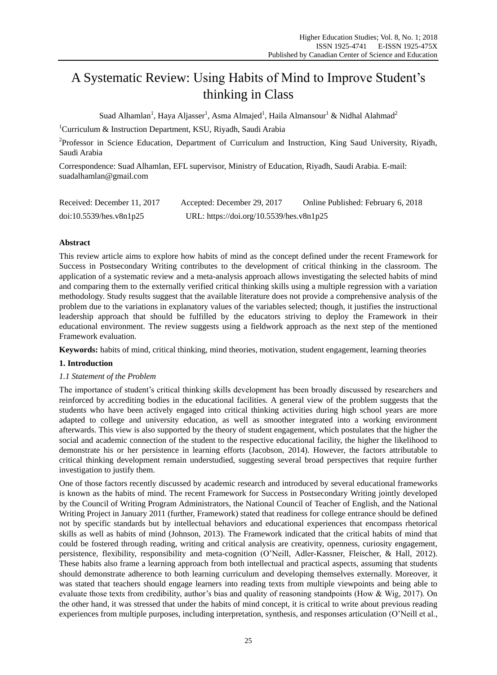# A Systematic Review: Using Habits of Mind to Improve Student"s thinking in Class

Suad Alhamlan<sup>1</sup>, Haya Aljasser<sup>1</sup>, Asma Almajed<sup>1</sup>, Haila Almansour<sup>1</sup> & Nidhal Alahmad<sup>2</sup>

<sup>1</sup>Curriculum & Instruction Department, KSU, Riyadh, Saudi Arabia

<sup>2</sup>Professor in Science Education, Department of Curriculum and Instruction, King Saud University, Riyadh, Saudi Arabia

Correspondence: Suad Alhamlan, EFL supervisor, Ministry of Education, Riyadh, Saudi Arabia. E-mail: suadalhamlan@gmail.com

| Received: December 11, 2017 | Accepted: December 29, 2017              | Online Published: February 6, 2018 |
|-----------------------------|------------------------------------------|------------------------------------|
| doi:10.5539/hes.v8n1p25     | URL: https://doi.org/10.5539/hes.v8n1p25 |                                    |

# **Abstract**

This review article aims to explore how habits of mind as the concept defined under the recent Framework for Success in Postsecondary Writing contributes to the development of critical thinking in the classroom. The application of a systematic review and a meta-analysis approach allows investigating the selected habits of mind and comparing them to the externally verified critical thinking skills using a multiple regression with a variation methodology. Study results suggest that the available literature does not provide a comprehensive analysis of the problem due to the variations in explanatory values of the variables selected; though, it justifies the instructional leadership approach that should be fulfilled by the educators striving to deploy the Framework in their educational environment. The review suggests using a fieldwork approach as the next step of the mentioned Framework evaluation.

**Keywords:** habits of mind, critical thinking, mind theories, motivation, student engagement, learning theories

# **1. Introduction**

# *1.1 Statement of the Problem*

The importance of student"s critical thinking skills development has been broadly discussed by researchers and reinforced by accrediting bodies in the educational facilities. A general view of the problem suggests that the students who have been actively engaged into critical thinking activities during high school years are more adapted to college and university education, as well as smoother integrated into a working environment afterwards. This view is also supported by the theory of student engagement, which postulates that the higher the social and academic connection of the student to the respective educational facility, the higher the likelihood to demonstrate his or her persistence in learning efforts (Jacobson, 2014). However, the factors attributable to critical thinking development remain understudied, suggesting several broad perspectives that require further investigation to justify them.

One of those factors recently discussed by academic research and introduced by several educational frameworks is known as the habits of mind. The recent Framework for Success in Postsecondary Writing jointly developed by the Council of Writing Program Administrators, the National Council of Teacher of English, and the National Writing Project in January 2011 (further, Framework) stated that readiness for college entrance should be defined not by specific standards but by intellectual behaviors and educational experiences that encompass rhetorical skills as well as habits of mind (Johnson, 2013). The Framework indicated that the critical habits of mind that could be fostered through reading, writing and critical analysis are creativity, openness, curiosity engagement, persistence, flexibility, responsibility and meta-cognition (O"Neill, Adler-Kassner, Fleischer, & Hall, 2012). These habits also frame a learning approach from both intellectual and practical aspects, assuming that students should demonstrate adherence to both learning curriculum and developing themselves externally. Moreover, it was stated that teachers should engage learners into reading texts from multiple viewpoints and being able to evaluate those texts from credibility, author's bias and quality of reasoning standpoints (How & Wig, 2017). On the other hand, it was stressed that under the habits of mind concept, it is critical to write about previous reading experiences from multiple purposes, including interpretation, synthesis, and responses articulation (O"Neill et al.,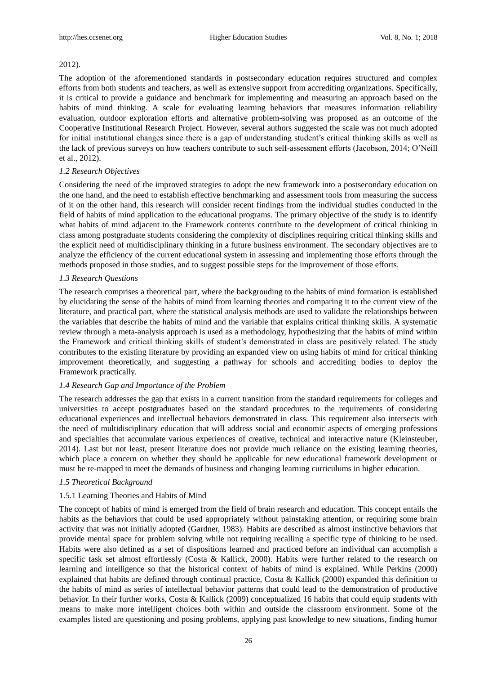#### 2012).

The adoption of the aforementioned standards in postsecondary education requires structured and complex efforts from both students and teachers, as well as extensive support from accrediting organizations. Specifically, it is critical to provide a guidance and benchmark for implementing and measuring an approach based on the habits of mind thinking. A scale for evaluating learning behaviors that measures information reliability evaluation, outdoor exploration efforts and alternative problem-solving was proposed as an outcome of the Cooperative Institutional Research Project. However, several authors suggested the scale was not much adopted for initial institutional changes since there is a gap of understanding student"s critical thinking skills as well as the lack of previous surveys on how teachers contribute to such self-assessment efforts (Jacobson, 2014; O"Neill et al., 2012).

# *1.2 Research Objectives*

Considering the need of the improved strategies to adopt the new framework into a postsecondary education on the one hand, and the need to establish effective benchmarking and assessment tools from measuring the success of it on the other hand, this research will consider recent findings from the individual studies conducted in the field of habits of mind application to the educational programs. The primary objective of the study is to identify what habits of mind adjacent to the Framework contents contribute to the development of critical thinking in class among postgraduate students considering the complexity of disciplines requiring critical thinking skills and the explicit need of multidisciplinary thinking in a future business environment. The secondary objectives are to analyze the efficiency of the current educational system in assessing and implementing those efforts through the methods proposed in those studies, and to suggest possible steps for the improvement of those efforts.

# *1.3 Research Questions*

The research comprises a theoretical part, where the backgrouding to the habits of mind formation is established by elucidating the sense of the habits of mind from learning theories and comparing it to the current view of the literature, and practical part, where the statistical analysis methods are used to validate the relationships between the variables that describe the habits of mind and the variable that explains critical thinking skills. A systematic review through a meta-analysis approach is used as a methodology, hypothesizing that the habits of mind within the Framework and critical thinking skills of student"s demonstrated in class are positively related. The study contributes to the existing literature by providing an expanded view on using habits of mind for critical thinking improvement theoretically, and suggesting a pathway for schools and accrediting bodies to deploy the Framework practically.

# *1.4 Research Gap and Importance of the Problem*

The research addresses the gap that exists in a current transition from the standard requirements for colleges and universities to accept postgraduates based on the standard procedures to the requirements of considering educational experiences and intellectual behaviors demonstrated in class. This requirement also intersects with the need of multidisciplinary education that will address social and economic aspects of emerging professions and specialties that accumulate various experiences of creative, technical and interactive nature (Kleinsteuber, 2014). Last but not least, present literature does not provide much reliance on the existing learning theories, which place a concern on whether they should be applicable for new educational framework development or must be re-mapped to meet the demands of business and changing learning curriculums in higher education.

# *1.5 Theoretical Background*

# 1.5.1 Learning Theories and Habits of Mind

The concept of habits of mind is emerged from the field of brain research and education. This concept entails the habits as the behaviors that could be used appropriately without painstaking attention, or requiring some brain activity that was not initially adopted (Gardner, 1983). Habits are described as almost instinctive behaviors that provide mental space for problem solving while not requiring recalling a specific type of thinking to be used. Habits were also defined as a set of dispositions learned and practiced before an individual can accomplish a specific task set almost effortlessly (Costa & Kallick, 2000). Habits were further related to the research on learning and intelligence so that the historical context of habits of mind is explained. While Perkins (2000) explained that habits are defined through continual practice, Costa & Kallick (2000) expanded this definition to the habits of mind as series of intellectual behavior patterns that could lead to the demonstration of productive behavior. In their further works, Costa & Kallick (2009) conceptualized 16 habits that could equip students with means to make more intelligent choices both within and outside the classroom environment. Some of the examples listed are questioning and posing problems, applying past knowledge to new situations, finding humor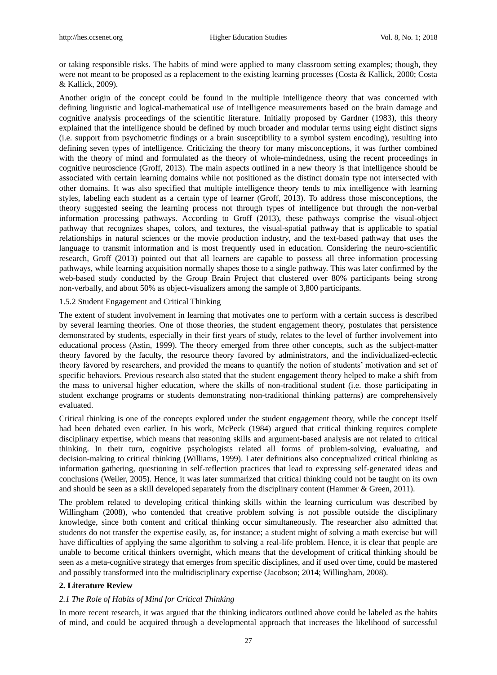or taking responsible risks. The habits of mind were applied to many classroom setting examples; though, they were not meant to be proposed as a replacement to the existing learning processes (Costa & Kallick, 2000; Costa & Kallick, 2009).

Another origin of the concept could be found in the multiple intelligence theory that was concerned with defining linguistic and logical-mathematical use of intelligence measurements based on the brain damage and cognitive analysis proceedings of the scientific literature. Initially proposed by Gardner (1983), this theory explained that the intelligence should be defined by much broader and modular terms using eight distinct signs (i.e. support from psychometric findings or a brain susceptibility to a symbol system encoding), resulting into defining seven types of intelligence. Criticizing the theory for many misconceptions, it was further combined with the theory of mind and formulated as the theory of whole-mindedness, using the recent proceedings in cognitive neuroscience (Groff, 2013). The main aspects outlined in a new theory is that intelligence should be associated with certain learning domains while not positioned as the distinct domain type not intersected with other domains. It was also specified that multiple intelligence theory tends to mix intelligence with learning styles, labeling each student as a certain type of learner (Groff, 2013). To address those misconceptions, the theory suggested seeing the learning process not through types of intelligence but through the non-verbal information processing pathways. According to Groff (2013), these pathways comprise the visual-object pathway that recognizes shapes, colors, and textures, the visual-spatial pathway that is applicable to spatial relationships in natural sciences or the movie production industry, and the text-based pathway that uses the language to transmit information and is most frequently used in education. Considering the neuro-scientific research, Groff (2013) pointed out that all learners are capable to possess all three information processing pathways, while learning acquisition normally shapes those to a single pathway. This was later confirmed by the web-based study conducted by the Group Brain Project that clustered over 80% participants being strong non-verbally, and about 50% as object-visualizers among the sample of 3,800 participants.

#### 1.5.2 Student Engagement and Critical Thinking

The extent of student involvement in learning that motivates one to perform with a certain success is described by several learning theories. One of those theories, the student engagement theory, postulates that persistence demonstrated by students, especially in their first years of study, relates to the level of further involvement into educational process (Astin, 1999). The theory emerged from three other concepts, such as the subject-matter theory favored by the faculty, the resource theory favored by administrators, and the individualized-eclectic theory favored by researchers, and provided the means to quantify the notion of students" motivation and set of specific behaviors. Previous research also stated that the student engagement theory helped to make a shift from the mass to universal higher education, where the skills of non-traditional student (i.e. those participating in student exchange programs or students demonstrating non-traditional thinking patterns) are comprehensively evaluated.

Critical thinking is one of the concepts explored under the student engagement theory, while the concept itself had been debated even earlier. In his work, McPeck (1984) argued that critical thinking requires complete disciplinary expertise, which means that reasoning skills and argument-based analysis are not related to critical thinking. In their turn, cognitive psychologists related all forms of problem-solving, evaluating, and decision-making to critical thinking (Williams, 1999). Later definitions also conceptualized critical thinking as information gathering, questioning in self-reflection practices that lead to expressing self-generated ideas and conclusions (Weiler, 2005). Hence, it was later summarized that critical thinking could not be taught on its own and should be seen as a skill developed separately from the disciplinary content (Hammer & Green, 2011).

The problem related to developing critical thinking skills within the learning curriculum was described by Willingham (2008), who contended that creative problem solving is not possible outside the disciplinary knowledge, since both content and critical thinking occur simultaneously. The researcher also admitted that students do not transfer the expertise easily, as, for instance; a student might of solving a math exercise but will have difficulties of applying the same algorithm to solving a real-life problem. Hence, it is clear that people are unable to become critical thinkers overnight, which means that the development of critical thinking should be seen as a meta-cognitive strategy that emerges from specific disciplines, and if used over time, could be mastered and possibly transformed into the multidisciplinary expertise (Jacobson; 2014; Willingham, 2008).

# **2. Literature Review**

# *2.1 The Role of Habits of Mind for Critical Thinking*

In more recent research, it was argued that the thinking indicators outlined above could be labeled as the habits of mind, and could be acquired through a developmental approach that increases the likelihood of successful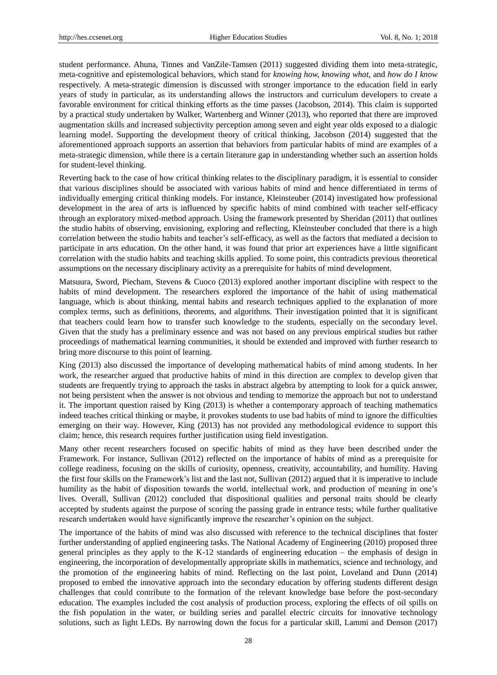student performance. Ahuna, Tinnes and VanZile-Tamsen (2011) suggested dividing them into meta-strategic, meta-cognitive and epistemological behaviors, which stand for *knowing how, knowing what,* and *how do I know*  respectively. A meta-strategic dimension is discussed with stronger importance to the education field in early years of study in particular, as its understanding allows the instructors and curriculum developers to create a favorable environment for critical thinking efforts as the time passes (Jacobson, 2014). This claim is supported by a practical study undertaken by Walker, Wartenberg and Winner (2013), who reported that there are improved augmentation skills and increased subjectivity perception among seven and eight year olds exposed to a dialogic learning model. Supporting the development theory of critical thinking, Jacobson (2014) suggested that the aforementioned approach supports an assertion that behaviors from particular habits of mind are examples of a meta-strategic dimension, while there is a certain literature gap in understanding whether such an assertion holds for student-level thinking.

Reverting back to the case of how critical thinking relates to the disciplinary paradigm, it is essential to consider that various disciplines should be associated with various habits of mind and hence differentiated in terms of individually emerging critical thinking models. For instance, Kleinsteuber (2014) investigated how professional development in the area of arts is influenced by specific habits of mind combined with teacher self-efficacy through an exploratory mixed-method approach. Using the framework presented by Sheridan (2011) that outlines the studio habits of observing, envisioning, exploring and reflecting, Kleinsteuber concluded that there is a high correlation between the studio habits and teacher"s self-efficacy, as well as the factors that mediated a decision to participate in arts education. On the other hand, it was found that prior art experiences have a little significant correlation with the studio habits and teaching skills applied. To some point, this contradicts previous theoretical assumptions on the necessary disciplinary activity as a prerequisite for habits of mind development.

Matsuura, Sword, Piecham, Stevens & Cuoco (2013) explored another important discipline with respect to the habits of mind development. The researchers explored the importance of the habit of using mathematical language, which is about thinking, mental habits and research techniques applied to the explanation of more complex terms, such as definitions, theorems, and algorithms. Their investigation pointed that it is significant that teachers could learn how to transfer such knowledge to the students, especially on the secondary level. Given that the study has a preliminary essence and was not based on any previous empirical studies but rather proceedings of mathematical learning communities, it should be extended and improved with further research to bring more discourse to this point of learning.

King (2013) also discussed the importance of developing mathematical habits of mind among students. In her work, the researcher argued that productive habits of mind in this direction are complex to develop given that students are frequently trying to approach the tasks in abstract algebra by attempting to look for a quick answer, not being persistent when the answer is not obvious and tending to memorize the approach but not to understand it. The important question raised by King (2013) is whether a contemporary approach of teaching mathematics indeed teaches critical thinking or maybe, it provokes students to use bad habits of mind to ignore the difficulties emerging on their way. However, King (2013) has not provided any methodological evidence to support this claim; hence, this research requires further justification using field investigation.

Many other recent researchers focused on specific habits of mind as they have been described under the Framework. For instance, Sullivan (2012) reflected on the importance of habits of mind as a prerequisite for college readiness, focusing on the skills of curiosity, openness, creativity, accountability, and humility. Having the first four skills on the Framework"s list and the last not, Sullivan (2012) argued that it is imperative to include humility as the habit of disposition towards the world, intellectual work, and production of meaning in one's lives. Overall, Sullivan (2012) concluded that dispositional qualities and personal traits should be clearly accepted by students against the purpose of scoring the passing grade in entrance tests; while further qualitative research undertaken would have significantly improve the researcher"s opinion on the subject.

The importance of the habits of mind was also discussed with reference to the technical disciplines that foster further understanding of applied engineering tasks. The National Academy of Engineering (2010) proposed three general principles as they apply to the K-12 standards of engineering education – the emphasis of design in engineering, the incorporation of developmentally appropriate skills in mathematics, science and technology, and the promotion of the engineering habits of mind. Reflecting on the last point, Loveland and Dunn (2014) proposed to embed the innovative approach into the secondary education by offering students different design challenges that could contribute to the formation of the relevant knowledge base before the post-secondary education. The examples included the cost analysis of production process, exploring the effects of oil spills on the fish population in the water, or building series and parallel electric circuits for innovative technology solutions, such as light LEDs. By narrowing down the focus for a particular skill, Lammi and Denson (2017)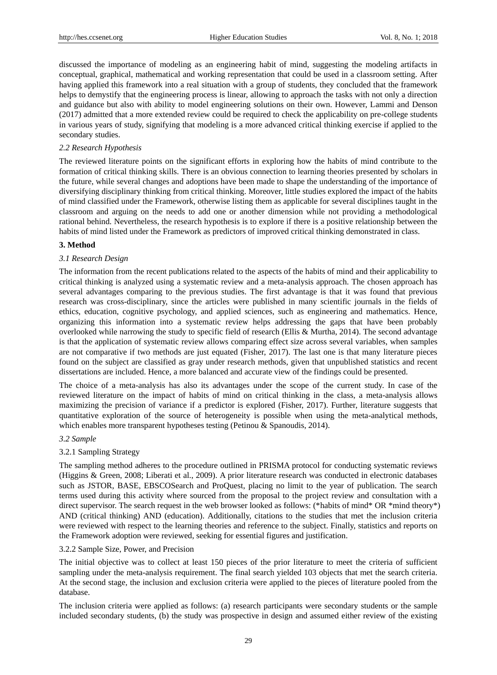discussed the importance of modeling as an engineering habit of mind, suggesting the modeling artifacts in conceptual, graphical, mathematical and working representation that could be used in a classroom setting. After having applied this framework into a real situation with a group of students, they concluded that the framework helps to demystify that the engineering process is linear, allowing to approach the tasks with not only a direction and guidance but also with ability to model engineering solutions on their own. However, Lammi and Denson (2017) admitted that a more extended review could be required to check the applicability on pre-college students in various years of study, signifying that modeling is a more advanced critical thinking exercise if applied to the secondary studies.

# *2.2 Research Hypothesis*

The reviewed literature points on the significant efforts in exploring how the habits of mind contribute to the formation of critical thinking skills. There is an obvious connection to learning theories presented by scholars in the future, while several changes and adoptions have been made to shape the understanding of the importance of diversifying disciplinary thinking from critical thinking. Moreover, little studies explored the impact of the habits of mind classified under the Framework, otherwise listing them as applicable for several disciplines taught in the classroom and arguing on the needs to add one or another dimension while not providing a methodological rational behind. Nevertheless, the research hypothesis is to explore if there is a positive relationship between the habits of mind listed under the Framework as predictors of improved critical thinking demonstrated in class.

# **3. Method**

#### *3.1 Research Design*

The information from the recent publications related to the aspects of the habits of mind and their applicability to critical thinking is analyzed using a systematic review and a meta-analysis approach. The chosen approach has several advantages comparing to the previous studies. The first advantage is that it was found that previous research was cross-disciplinary, since the articles were published in many scientific journals in the fields of ethics, education, cognitive psychology, and applied sciences, such as engineering and mathematics. Hence, organizing this information into a systematic review helps addressing the gaps that have been probably overlooked while narrowing the study to specific field of research (Ellis & Murtha, 2014). The second advantage is that the application of systematic review allows comparing effect size across several variables, when samples are not comparative if two methods are just equated (Fisher, 2017). The last one is that many literature pieces found on the subject are classified as gray under research methods, given that unpublished statistics and recent dissertations are included. Hence, a more balanced and accurate view of the findings could be presented.

The choice of a meta-analysis has also its advantages under the scope of the current study. In case of the reviewed literature on the impact of habits of mind on critical thinking in the class, a meta-analysis allows maximizing the precision of variance if a predictor is explored (Fisher, 2017). Further, literature suggests that quantitative exploration of the source of heterogeneity is possible when using the meta-analytical methods, which enables more transparent hypotheses testing (Petinou & Spanoudis, 2014).

#### *3.2 Sample*

# 3.2.1 Sampling Strategy

The sampling method adheres to the procedure outlined in PRISMA protocol for conducting systematic reviews (Higgins & Green, 2008; Liberati et al., 2009). A prior literature research was conducted in electronic databases such as JSTOR, BASE, EBSCOSearch and ProQuest, placing no limit to the year of publication. The search terms used during this activity where sourced from the proposal to the project review and consultation with a direct supervisor. The search request in the web browser looked as follows: (\*habits of mind\* OR \*mind theory\*) AND (critical thinking) AND (education). Additionally, citations to the studies that met the inclusion criteria were reviewed with respect to the learning theories and reference to the subject. Finally, statistics and reports on the Framework adoption were reviewed, seeking for essential figures and justification.

# 3.2.2 Sample Size, Power, and Precision

The initial objective was to collect at least 150 pieces of the prior literature to meet the criteria of sufficient sampling under the meta-analysis requirement. The final search yielded 103 objects that met the search criteria. At the second stage, the inclusion and exclusion criteria were applied to the pieces of literature pooled from the database.

The inclusion criteria were applied as follows: (a) research participants were secondary students or the sample included secondary students, (b) the study was prospective in design and assumed either review of the existing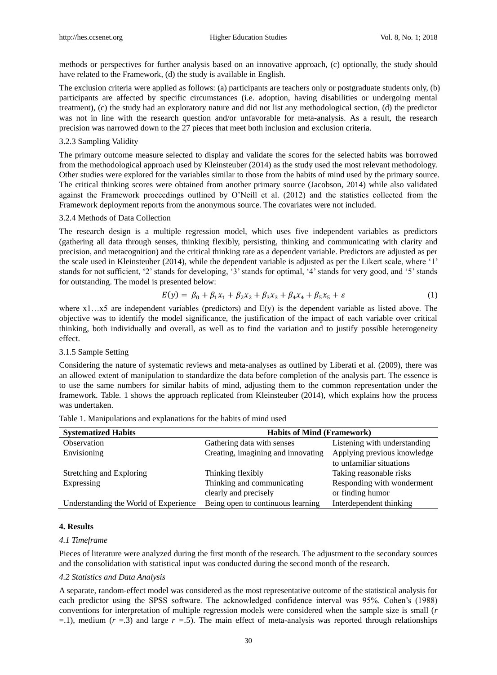methods or perspectives for further analysis based on an innovative approach, (c) optionally, the study should have related to the Framework, (d) the study is available in English.

The exclusion criteria were applied as follows: (a) participants are teachers only or postgraduate students only, (b) participants are affected by specific circumstances (i.e. adoption, having disabilities or undergoing mental treatment), (c) the study had an exploratory nature and did not list any methodological section, (d) the predictor was not in line with the research question and/or unfavorable for meta-analysis. As a result, the research precision was narrowed down to the 27 pieces that meet both inclusion and exclusion criteria.

# 3.2.3 Sampling Validity

The primary outcome measure selected to display and validate the scores for the selected habits was borrowed from the methodological approach used by Kleinsteuber (2014) as the study used the most relevant methodology. Other studies were explored for the variables similar to those from the habits of mind used by the primary source. The critical thinking scores were obtained from another primary source (Jacobson, 2014) while also validated against the Framework proceedings outlined by O"Neill et al. (2012) and the statistics collected from the Framework deployment reports from the anonymous source. The covariates were not included.

#### 3.2.4 Methods of Data Collection

The research design is a multiple regression model, which uses five independent variables as predictors (gathering all data through senses, thinking flexibly, persisting, thinking and communicating with clarity and precision, and metacognition) and the critical thinking rate as a dependent variable. Predictors are adjusted as per the scale used in Kleinsteuber (2014), while the dependent variable is adjusted as per the Likert scale, where "1" stands for not sufficient, '2' stands for developing, '3' stands for optimal, '4' stands for very good, and '5' stands for outstanding. The model is presented below:

$$
E(y) = \beta_0 + \beta_1 x_1 + \beta_2 x_2 + \beta_3 x_3 + \beta_4 x_4 + \beta_5 x_5 + \varepsilon
$$
 (1)

where x1…x5 are independent variables (predictors) and E(y) is the dependent variable as listed above. The objective was to identify the model significance, the justification of the impact of each variable over critical thinking, both individually and overall, as well as to find the variation and to justify possible heterogeneity effect.

# 3.1.5 Sample Setting

Considering the nature of systematic reviews and meta-analyses as outlined by Liberati et al. (2009), there was an allowed extent of manipulation to standardize the data before completion of the analysis part. The essence is to use the same numbers for similar habits of mind, adjusting them to the common representation under the framework. Table. 1 shows the approach replicated from Kleinsteuber (2014), which explains how the process was undertaken.

| <b>Systematized Habits</b>            | <b>Habits of Mind (Framework)</b>                   |                                                         |  |  |
|---------------------------------------|-----------------------------------------------------|---------------------------------------------------------|--|--|
| Observation                           | Gathering data with senses                          | Listening with understanding                            |  |  |
| Envisioning                           | Creating, imagining and innovating                  | Applying previous knowledge<br>to unfamiliar situations |  |  |
| Stretching and Exploring              | Thinking flexibly                                   | Taking reasonable risks                                 |  |  |
| Expressing                            | Thinking and communicating<br>clearly and precisely | Responding with wonderment<br>or finding humor          |  |  |
| Understanding the World of Experience | Being open to continuous learning                   | Interdependent thinking                                 |  |  |

Table 1. Manipulations and explanations for the habits of mind used

# **4. Results**

# *4.1 Timeframe*

Pieces of literature were analyzed during the first month of the research. The adjustment to the secondary sources and the consolidation with statistical input was conducted during the second month of the research.

# *4.2 Statistics and Data Analysis*

A separate, random-effect model was considered as the most representative outcome of the statistical analysis for each predictor using the SPSS software. The acknowledged confidence interval was 95%. Cohen"s (1988) conventions for interpretation of multiple regression models were considered when the sample size is small (*r*   $=$ .1), medium ( $r = 3$ ) and large  $r = 5$ ). The main effect of meta-analysis was reported through relationships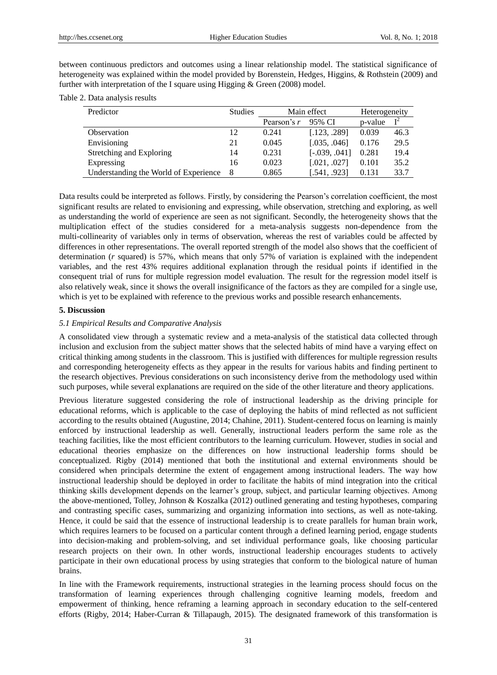between continuous predictors and outcomes using a linear relationship model. The statistical significance of heterogeneity was explained within the model provided by Borenstein, Hedges, Higgins, & Rothstein (2009) and further with interpretation of the I square using Higging & Green (2008) model.

Table 2. Data analysis results

| Predictor                             | <b>Studies</b> | Main effect |                 | Heterogeneity |                |
|---------------------------------------|----------------|-------------|-----------------|---------------|----------------|
|                                       |                | Pearson's r | 95% CI          | p-value       | $\mathbf{r}^2$ |
| Observation                           | 12             | 0.241       | [.123, .289]    | 0.039         | 46.3           |
| Envisioning                           | 21             | 0.045       | [.035, .046]    | 0.176         | 29.5           |
| Stretching and Exploring              | 14             | 0.231       | $[-.039, .041]$ | 0.281         | 19.4           |
| Expressing                            | 16             | 0.023       | [.021, .027]    | 0.101         | 35.2           |
| Understanding the World of Experience | 8              | 0.865       | [.541, .923]    | 0.131         | 33.7           |

Data results could be interpreted as follows. Firstly, by considering the Pearson"s correlation coefficient, the most significant results are related to envisioning and expressing, while observation, stretching and exploring, as well as understanding the world of experience are seen as not significant. Secondly, the heterogeneity shows that the multiplication effect of the studies considered for a meta-analysis suggests non-dependence from the multi-collinearity of variables only in terms of observation, whereas the rest of variables could be affected by differences in other representations. The overall reported strength of the model also shows that the coefficient of determination (*r* squared) is 57%, which means that only 57% of variation is explained with the independent variables, and the rest 43% requires additional explanation through the residual points if identified in the consequent trial of runs for multiple regression model evaluation. The result for the regression model itself is also relatively weak, since it shows the overall insignificance of the factors as they are compiled for a single use, which is yet to be explained with reference to the previous works and possible research enhancements.

#### **5. Discussion**

# *5.1 Empirical Results and Comparative Analysis*

A consolidated view through a systematic review and a meta-analysis of the statistical data collected through inclusion and exclusion from the subject matter shows that the selected habits of mind have a varying effect on critical thinking among students in the classroom. This is justified with differences for multiple regression results and corresponding heterogeneity effects as they appear in the results for various habits and finding pertinent to the research objectives. Previous considerations on such inconsistency derive from the methodology used within such purposes, while several explanations are required on the side of the other literature and theory applications.

Previous literature suggested considering the role of instructional leadership as the driving principle for educational reforms, which is applicable to the case of deploying the habits of mind reflected as not sufficient according to the results obtained (Augustine, 2014; Chahine, 2011). Student-centered focus on learning is mainly enforced by instructional leadership as well. Generally, instructional leaders perform the same role as the teaching facilities, like the most efficient contributors to the learning curriculum. However, studies in social and educational theories emphasize on the differences on how instructional leadership forms should be conceptualized. Rigby (2014) mentioned that both the institutional and external environments should be considered when principals determine the extent of engagement among instructional leaders. The way how instructional leadership should be deployed in order to facilitate the habits of mind integration into the critical thinking skills development depends on the learner"s group, subject, and particular learning objectives. Among the above-mentioned, Tolley, Johnson & Koszalka (2012) outlined generating and testing hypotheses, comparing and contrasting specific cases, summarizing and organizing information into sections, as well as note-taking. Hence, it could be said that the essence of instructional leadership is to create parallels for human brain work, which requires learners to be focused on a particular content through a defined learning period, engage students into decision-making and problem-solving, and set individual performance goals, like choosing particular research projects on their own. In other words, instructional leadership encourages students to actively participate in their own educational process by using strategies that conform to the biological nature of human brains.

In line with the Framework requirements, instructional strategies in the learning process should focus on the transformation of learning experiences through challenging cognitive learning models, freedom and empowerment of thinking, hence reframing a learning approach in secondary education to the self-centered efforts (Rigby, 2014; Haber-Curran & Tillapaugh, 2015). The designated framework of this transformation is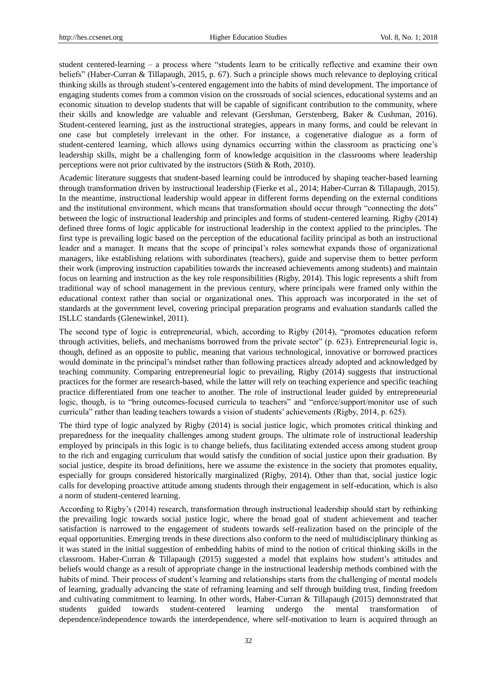student centered-learning – a process where "students learn to be critically reflective and examine their own beliefs" (Haber-Curran & Tillapaugh, 2015, p. 67). Such a principle shows much relevance to deploying critical thinking skills as through student"s-centered engagement into the habits of mind development. The importance of engaging students comes from a common vision on the crossroads of social sciences, educational systems and an economic situation to develop students that will be capable of significant contribution to the community, where their skills and knowledge are valuable and relevant (Gershman, Gerstenberg, Baker & Cushman, 2016). Student-centered learning, just as the instructional strategies, appears in many forms, and could be relevant in one case but completely irrelevant in the other. For instance, a cogenerative dialogue as a form of student-centered learning, which allows using dynamics occurring within the classroom as practicing one"s leadership skills, might be a challenging form of knowledge acquisition in the classrooms where leadership perceptions were not prior cultivated by the instructors (Stith & Roth, 2010).

Academic literature suggests that student-based learning could be introduced by shaping teacher-based learning through transformation driven by instructional leadership (Fierke et al., 2014; Haber-Curran & Tillapaugh, 2015). In the meantime, instructional leadership would appear in different forms depending on the external conditions and the institutional environment, which means that transformation should occur through "connecting the dots" between the logic of instructional leadership and principles and forms of student-centered learning. Rigby (2014) defined three forms of logic applicable for instructional leadership in the context applied to the principles. The first type is prevailing logic based on the perception of the educational facility principal as both an instructional leader and a manager. It means that the scope of principal's roles somewhat expands those of organizational managers, like establishing relations with subordinates (teachers), guide and supervise them to better perform their work (improving instruction capabilities towards the increased achievements among students) and maintain focus on learning and instruction as the key role responsibilities (Rigby, 2014). This logic represents a shift from traditional way of school management in the previous century, where principals were framed only within the educational context rather than social or organizational ones. This approach was incorporated in the set of standards at the government level, covering principal preparation programs and evaluation standards called the ISLLC standards (Glenewinkel, 2011).

The second type of logic is entrepreneurial, which, according to Rigby (2014), "promotes education reform through activities, beliefs, and mechanisms borrowed from the private sector" (p. 623). Entrepreneurial logic is, though, defined as an opposite to public, meaning that various technological, innovative or borrowed practices would dominate in the principal"s mindset rather than following practices already adopted and acknowledged by teaching community. Comparing entrepreneurial logic to prevailing, Rigby (2014) suggests that instructional practices for the former are research-based, while the latter will rely on teaching experience and specific teaching practice differentiated from one teacher to another. The role of instructional leader guided by entrepreneurial logic, though, is to "bring outcomes-focused curricula to teachers" and "enforce/support/monitor use of such curricula" rather than leading teachers towards a vision of students" achievements (Rigby, 2014, p. 625).

The third type of logic analyzed by Rigby (2014) is social justice logic, which promotes critical thinking and preparedness for the inequality challenges among student groups. The ultimate role of instructional leadership employed by principals in this logic is to change beliefs, thus facilitating extended access among student group to the rich and engaging curriculum that would satisfy the condition of social justice upon their graduation. By social justice, despite its broad definitions, here we assume the existence in the society that promotes equality, especially for groups considered historically marginalized (Rigby, 2014). Other than that, social justice logic calls for developing proactive attitude among students through their engagement in self-education, which is also a norm of student-centered learning.

According to Rigby"s (2014) research, transformation through instructional leadership should start by rethinking the prevailing logic towards social justice logic, where the broad goal of student achievement and teacher satisfaction is narrowed to the engagement of students towards self-realization based on the principle of the equal opportunities. Emerging trends in these directions also conform to the need of multidisciplinary thinking as it was stated in the initial suggestion of embedding habits of mind to the notion of critical thinking skills in the classroom. Haber-Curran & Tillapaugh (2015) suggested a model that explains how student"s attitudes and beliefs would change as a result of appropriate change in the instructional leadership methods combined with the habits of mind. Their process of student's learning and relationships starts from the challenging of mental models of learning, gradually advancing the state of reframing learning and self through building trust, finding freedom and cultivating commitment to learning. In other words, Haber-Curran & Tillapaugh (2015) demonstrated that students guided towards student-centered learning undergo the mental transformation of dependence/independence towards the interdependence, where self-motivation to learn is acquired through an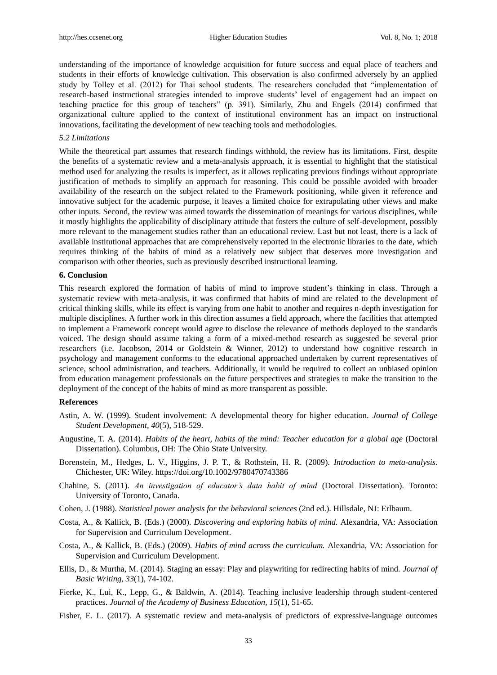understanding of the importance of knowledge acquisition for future success and equal place of teachers and students in their efforts of knowledge cultivation. This observation is also confirmed adversely by an applied study by Tolley et al. (2012) for Thai school students. The researchers concluded that "implementation of research-based instructional strategies intended to improve students" level of engagement had an impact on teaching practice for this group of teachers" (p. 391). Similarly, Zhu and Engels (2014) confirmed that organizational culture applied to the context of institutional environment has an impact on instructional innovations, facilitating the development of new teaching tools and methodologies.

#### *5.2 Limitations*

While the theoretical part assumes that research findings withhold, the review has its limitations. First, despite the benefits of a systematic review and a meta-analysis approach, it is essential to highlight that the statistical method used for analyzing the results is imperfect, as it allows replicating previous findings without appropriate justification of methods to simplify an approach for reasoning. This could be possible avoided with broader availability of the research on the subject related to the Framework positioning, while given it reference and innovative subject for the academic purpose, it leaves a limited choice for extrapolating other views and make other inputs. Second, the review was aimed towards the dissemination of meanings for various disciplines, while it mostly highlights the applicability of disciplinary attitude that fosters the culture of self-development, possibly more relevant to the management studies rather than an educational review. Last but not least, there is a lack of available institutional approaches that are comprehensively reported in the electronic libraries to the date, which requires thinking of the habits of mind as a relatively new subject that deserves more investigation and comparison with other theories, such as previously described instructional learning.

#### **6. Conclusion**

This research explored the formation of habits of mind to improve student's thinking in class. Through a systematic review with meta-analysis, it was confirmed that habits of mind are related to the development of critical thinking skills, while its effect is varying from one habit to another and requires n-depth investigation for multiple disciplines. A further work in this direction assumes a field approach, where the facilities that attempted to implement a Framework concept would agree to disclose the relevance of methods deployed to the standards voiced. The design should assume taking a form of a mixed-method research as suggested be several prior researchers (i.e. Jacobson, 2014 or Goldstein & Winner, 2012) to understand how cognitive research in psychology and management conforms to the educational approached undertaken by current representatives of science, school administration, and teachers. Additionally, it would be required to collect an unbiased opinion from education management professionals on the future perspectives and strategies to make the transition to the deployment of the concept of the habits of mind as more transparent as possible.

#### **References**

- Astin, A. W. (1999). Student involvement: A developmental theory for higher education. *Journal of College Student Development, 40*(5), 518-529.
- Augustine, T. A. (2014). *Habits of the heart, habits of the mind: Teacher education for a global age* (Doctoral Dissertation). Columbus, OH: The Ohio State University.
- Borenstein, M., Hedges, L. V., Higgins, J. P. T., & Rothstein, H. R. (2009). *Introduction to meta-analysis*. Chichester, UK: Wiley. https://doi.org/10.1002/9780470743386
- Chahine, S. (2011). *An investigation of educator's data habit of mind* (Doctoral Dissertation). Toronto: University of Toronto, Canada.
- Cohen, J. (1988). *Statistical power analysis for the behavioral sciences* (2nd ed.). Hillsdale, NJ: Erlbaum.
- Costa, A., & Kallick, B. (Eds.) (2000). *Discovering and exploring habits of mind.* Alexandria, VA: Association for Supervision and Curriculum Development.
- Costa, A., & Kallick, B. (Eds.) (2009). *Habits of mind across the curriculum.* Alexandria, VA: Association for Supervision and Curriculum Development.
- Ellis, D., & Murtha, M. (2014). Staging an essay: Play and playwriting for redirecting habits of mind. *Journal of Basic Writing, 33*(1), 74-102.
- Fierke, K., Lui, K., Lepp, G., & Baldwin, A. (2014). Teaching inclusive leadership through student-centered practices. *Journal of the Academy of Business Education, 15*(1), 51-65.
- Fisher, E. L. (2017). A systematic review and meta-analysis of predictors of expressive-language outcomes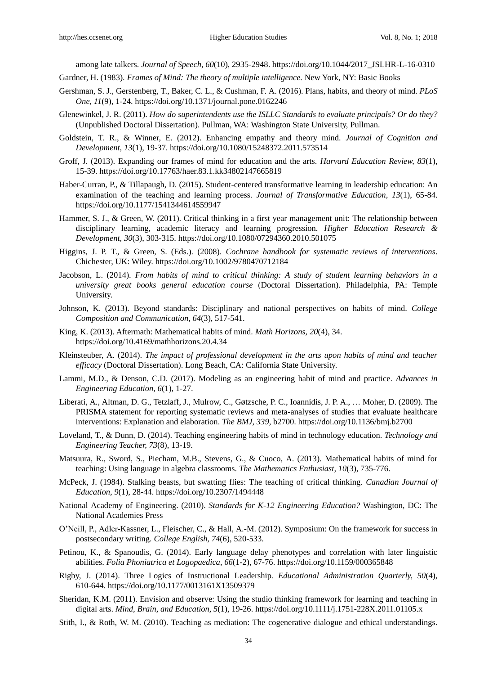among late talkers. *Journal of Speech, 60*(10), 2935-2948. https://doi.org/10.1044/2017\_JSLHR-L-16-0310

- Gardner, H. (1983). *Frames of Mind: The theory of multiple intelligence.* New York, NY: Basic Books
- Gershman, S. J., Gerstenberg, T., Baker, C. L., & Cushman, F. A. (2016). Plans, habits, and theory of mind. *PLoS One, 11*(9), 1-24. https://doi.org/10.1371/journal.pone.0162246
- Glenewinkel, J. R. (2011). *How do superintendents use the ISLLC Standards to evaluate principals? Or do they?*  (Unpublished Doctoral Dissertation). Pullman, WA: Washington State University, Pullman.
- Goldstein, T. R., & Winner, E. (2012). Enhancing empathy and theory mind. *Journal of Cognition and Development, 13*(1), 19-37. https://doi.org/10.1080/15248372.2011.573514
- Groff, J. (2013). Expanding our frames of mind for education and the arts. *Harvard Education Review, 83*(1), 15-39. https://doi.org/10.17763/haer.83.1.kk34802147665819
- Haber-Curran, P., & Tillapaugh, D. (2015). Student-centered transformative learning in leadership education: An examination of the teaching and learning process. *Journal of Transformative Education, 13*(1), 65-84. https://doi.org/10.1177/1541344614559947
- Hammer, S. J., & Green, W. (2011). Critical thinking in a first year management unit: The relationship between disciplinary learning, academic literacy and learning progression. *Higher Education Research & Development, 30*(3), 303-315. https://doi.org/10.1080/07294360.2010.501075
- Higgins, J. P. T., & Green, S. (Eds.). (2008). *Cochrane handbook for systematic reviews of interventions*. Chichester, UK: Wiley. https://doi.org/10.1002/9780470712184
- Jacobson, L. (2014). *From habits of mind to critical thinking: A study of student learning behaviors in a university great books general education course* (Doctoral Dissertation). Philadelphia, PA: Temple University.
- Johnson, K. (2013). Beyond standards: Disciplinary and national perspectives on habits of mind. *College Composition and Communication, 64*(3), 517-541.
- King, K. (2013). Aftermath: Mathematical habits of mind. *Math Horizons, 20*(4), 34. https://doi.org/10.4169/mathhorizons.20.4.34
- Kleinsteuber, A. (2014). *The impact of professional development in the arts upon habits of mind and teacher efficacy* (Doctoral Dissertation). Long Beach, CA: California State University.
- Lammi, M.D., & Denson, C.D. (2017). Modeling as an engineering habit of mind and practice. *Advances in Engineering Education, 6*(1), 1-27.
- Liberati, A., Altman, D. G., Tetzlaff, J., Mulrow, C., Gøtzsche, P. C., Ioannidis, J. P. A., … Moher, D. (2009). The PRISMA statement for reporting systematic reviews and meta-analyses of studies that evaluate healthcare interventions: Explanation and elaboration. *The BMJ*, *339*, b2700. https://doi.org/10.1136/bmj.b2700
- Loveland, T., & Dunn, D. (2014). Teaching engineering habits of mind in technology education. *Technology and Engineering Teacher, 73*(8), 13-19.
- Matsuura, R., Sword, S., Piecham, M.B., Stevens, G., & Cuoco, A. (2013). Mathematical habits of mind for teaching: Using language in algebra classrooms. *The Mathematics Enthusiast, 10*(3), 735-776.
- McPeck, J. (1984). Stalking beasts, but swatting flies: The teaching of critical thinking. *Canadian Journal of Education, 9*(1), 28-44. https://doi.org/10.2307/1494448
- National Academy of Engineering. (2010). *Standards for K-12 Engineering Education?* Washington, DC: The National Academies Press
- O"Neill, P., Adler-Kassner, L., Fleischer, C., & Hall, A.-M. (2012). Symposium: On the framework for success in postsecondary writing. *College English, 74*(6), 520-533.
- Petinou, K., & Spanoudis, G. (2014). Early language delay phenotypes and correlation with later linguistic abilities. *Folia Phoniatrica et Logopaedica*, *66*(1-2), 67-76. https://doi.org/10.1159/000365848
- Rigby, J. (2014). Three Logics of Instructional Leadership*. Educational Administration Quarterly, 50*(4), 610-644. https://doi.org/10.1177/0013161X13509379
- Sheridan, K.M. (2011). Envision and observe: Using the studio thinking framework for learning and teaching in digital arts. *Mind, Brain, and Education, 5*(1), 19-26. https://doi.org/10.1111/j.1751-228X.2011.01105.x
- Stith, I., & Roth, W. M. (2010). Teaching as mediation: The cogenerative dialogue and ethical understandings.